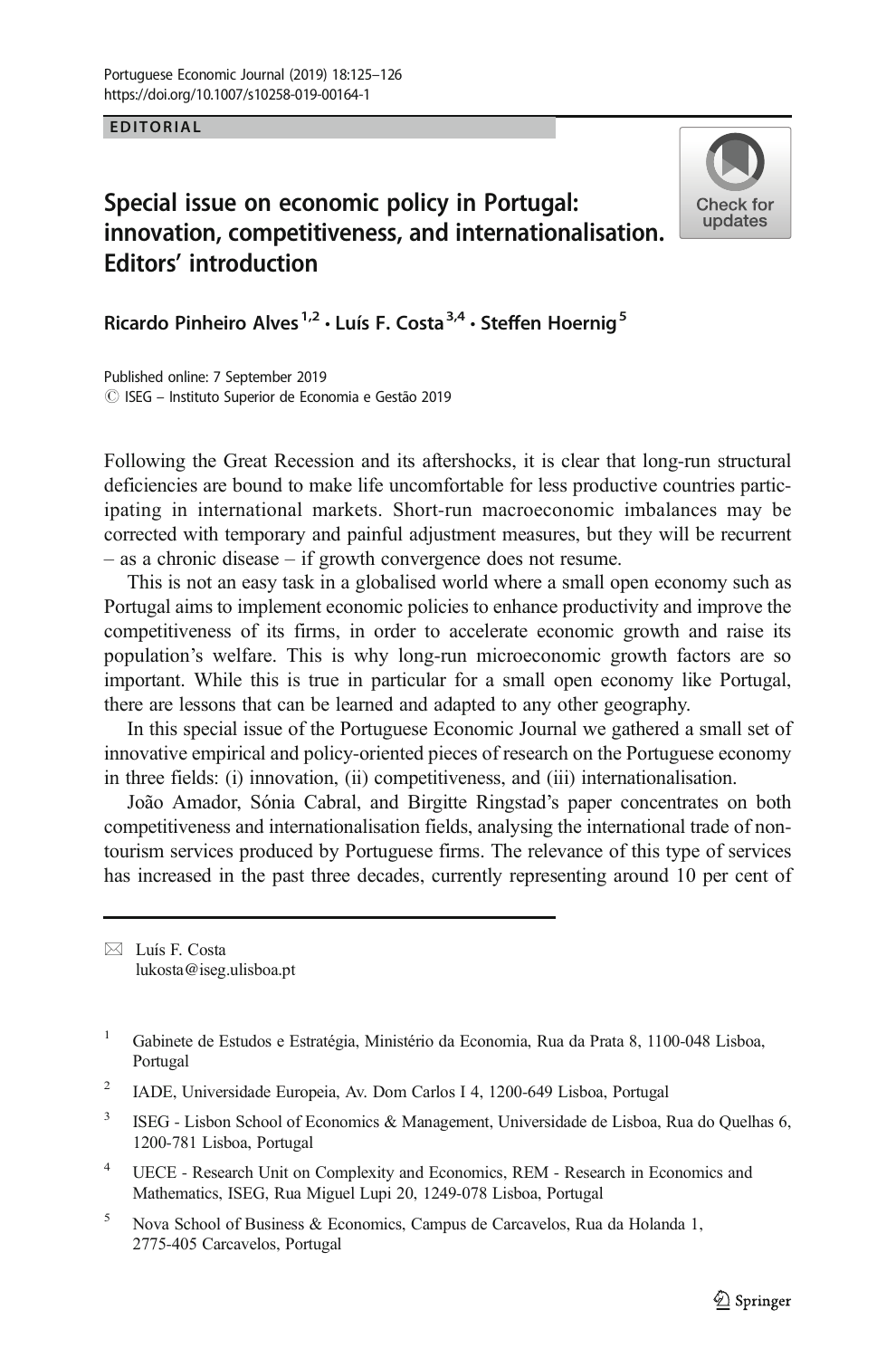## EDITORIAL

## Special issue on economic policy in Portugal: innovation, competitiveness, and internationalisation. Editors' introduction



Ricardo Pinheiro Alves<sup>1,2</sup>  $\cdot$  Luís F. Costa<sup>3,4</sup>  $\cdot$  Steffen Hoernig<sup>5</sup>

Published online: 7 September 2019 # ISEG – Instituto Superior de Economia e Gestão 2019

Following the Great Recession and its aftershocks, it is clear that long-run structural deficiencies are bound to make life uncomfortable for less productive countries participating in international markets. Short-run macroeconomic imbalances may be corrected with temporary and painful adjustment measures, but they will be recurrent – as a chronic disease – if growth convergence does not resume.

This is not an easy task in a globalised world where a small open economy such as Portugal aims to implement economic policies to enhance productivity and improve the competitiveness of its firms, in order to accelerate economic growth and raise its population's welfare. This is why long-run microeconomic growth factors are so important. While this is true in particular for a small open economy like Portugal, there are lessons that can be learned and adapted to any other geography.

In this special issue of the Portuguese Economic Journal we gathered a small set of innovative empirical and policy-oriented pieces of research on the Portuguese economy in three fields: (i) innovation, (ii) competitiveness, and (iii) internationalisation.

João Amador, Sónia Cabral, and Birgitte Ringstad's paper concentrates on both competitiveness and internationalisation fields, analysing the international trade of nontourism services produced by Portuguese firms. The relevance of this type of services has increased in the past three decades, currently representing around 10 per cent of

 $\boxtimes$  Luís F. Costa [lukosta@iseg.ulisboa.pt](mailto:lukosta@iseg.ulisboa.pt)

- <sup>3</sup> ISEG Lisbon School of Economics & Management, Universidade de Lisboa, Rua do Quelhas 6, 1200-781 Lisboa, Portugal
- UECE Research Unit on Complexity and Economics, REM Research in Economics and Mathematics, ISEG, Rua Miguel Lupi 20, 1249-078 Lisboa, Portugal
- <sup>5</sup> Nova School of Business & Economics, Campus de Carcavelos, Rua da Holanda 1, 2775-405 Carcavelos, Portugal

<sup>&</sup>lt;sup>1</sup> Gabinete de Estudos e Estratégia, Ministério da Economia, Rua da Prata 8, 1100-048 Lisboa, Portugal

<sup>2</sup> IADE, Universidade Europeia, Av. Dom Carlos I 4, 1200-649 Lisboa, Portugal